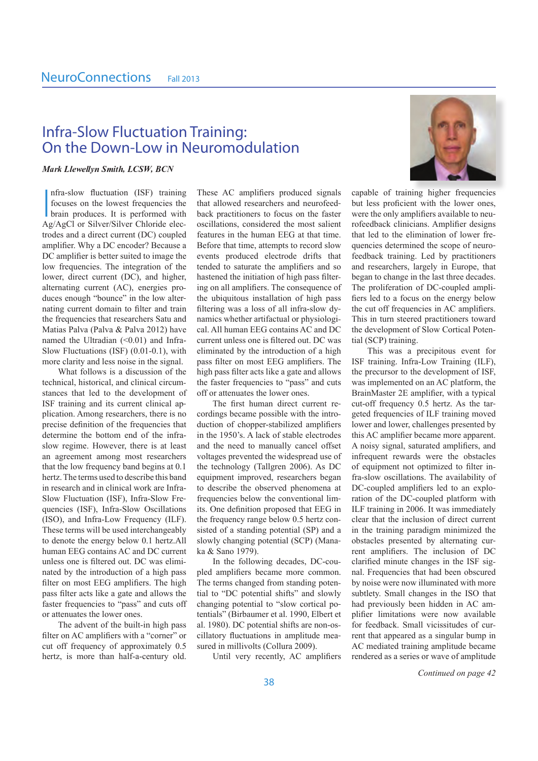## Infra-Slow Fluctuation Training: On the Down-Low in Neuromodulation

#### -

I nfra-slow fluctuation (ISF) training focuses on the lowest frequencies the brain produces. It is performed with Ag/AgCl or Silver/Silver Chloride elec trodes and a direct current (DC) coupled amplifier. Why a DC encoder? Because a DC amplifier is better suited to image the low frequencies. The integration of the lower, direct current (DC), and higher, alternating current (AC), energies pro duces enough "bounce" in the low alter nating current domain to filter and train the frequencies that researchers Satu and Matias Palva (Palva & Palva 2012) have named the Ultradian  $(\leq 0.01)$  and Infra-Slow Fluctuations (ISF) (0.01-0.1), with more clarity and less noise in the signal.

What follows is a discussion of the technical, historical, and clinical circum stances that led to the development of ISF training and its current clinical ap plication. Among researchers, there is no precise definition of the frequencies that determine the bottom end of the infraslow regime. However, there is at least an agreement among most researchers that the low frequency band begins at 0.1 hertz. The terms used to describe this band in research and in clinical work are Infra-Slow Fluctuation (ISF), Infra-Slow Fre quencies (ISF), Infra-Slow Oscillations (ISO), and Infra-Low Frequency (ILF). These terms will be used interchangeably to denote the energy below 0.1 hertz.All human EEG contains AC and DC current unless one is filtered out. DC was elimi nated by the introduction of a high pass filter on most EEG amplifiers. The high pass filter acts like a gate and allows the faster frequencies to "pass" and cuts off or attenuates the lower ones.

The advent of the built-in high pass filter on AC amplifiers with a "corner" or cut off frequency of approximately 0.5 hertz, is more than half-a-century old.

These AC amplifiers produced signals that allowed researchers and neurofeed back practitioners to focus on the faster oscillations, considered the most salient features in the human EEG at that time. Before that time, attempts to record slow events produced electrode drifts that tended to saturate the amplifiers and so hastened the initiation of high pass filter ing on all amplifiers. The consequence of the ubiquitous installation of high pass filtering was a loss of all infra-slow dy namics whether artifactual or physiologi cal. All human EEG contains AC and DC current unless one is filtered out. DC was eliminated by the introduction of a high pass filter on most EEG amplifiers. The high pass filter acts like a gate and allows the faster frequencies to "pass" and cuts off or attenuates the lower ones.

The first human direct current re cordings became possible with the intro duction of chopper-stabilized amplifiers in the 1950's. A lack of stable electrodes and the need to manually cancel offset voltages prevented the widespread use of the technology (Tallgren 2006). As DC equipment improved, researchers began to describe the observed phenomena at frequencies below the conventional lim its. One definition proposed that EEG in the frequency range below 0.5 hertz con sisted of a standing potential (SP) and a slowly changing potential (SCP) (Mana ka & Sano 1979).

In the following decades, DC-cou pled amplifiers became more common. The terms changed from standing poten tial to "DC potential shifts" and slowly changing potential to "slow cortical po tentials" (Birbaumer et al. 1990, Elbert et al. 1980). DC potential shifts are non-os cillatory fluctuations in amplitude mea sured in millivolts (Collura 2009).

Until very recently, AC amplifiers



capable of training higher frequencies but less proficient with the lower ones, were the only amplifiers available to neu rofeedback clinicians. Amplifier designs that led to the elimination of lower fre quencies determined the scope of neuro feedback training. Led by practitioners and researchers, largely in Europe, that began to change in the last three decades. The proliferation of DC-coupled ampli fiers led to a focus on the energy below the cut off frequencies in AC amplifiers. This in turn steered practitioners toward the development of Slow Cortical Poten tial (SCP) training.

This was a precipitous event for ISF training. Infra-Low Training (ILF), the precursor to the development of ISF, was implemented on an AC platform, the BrainMaster 2E amplifier, with a typical cut-off frequency 0.5 hertz. As the tar geted frequencies of ILF training moved lower and lower, challenges presented by this AC amplifier became more apparent. A noisy signal, saturated amplifiers, and infrequent rewards were the obstacles of equipment not optimized to filter in fra-slow oscillations. The availability of DC-coupled amplifiers led to an explo ration of the DC-coupled platform with ILF training in 2006. It was immediately clear that the inclusion of direct current in the training paradigm minimized the obstacles presented by alternating cur rent amplifiers. The inclusion of DC clarified minute changes in the ISF sig nal. Frequencies that had been obscured by noise were now illuminated with more subtlety. Small changes in the ISO that had previously been hidden in AC am plifier limitations were now available for feedback. Small vicissitudes of cur rent that appeared as a singular bump in AC mediated training amplitude became rendered as a series or wave of amplitude

*Continued on page 42*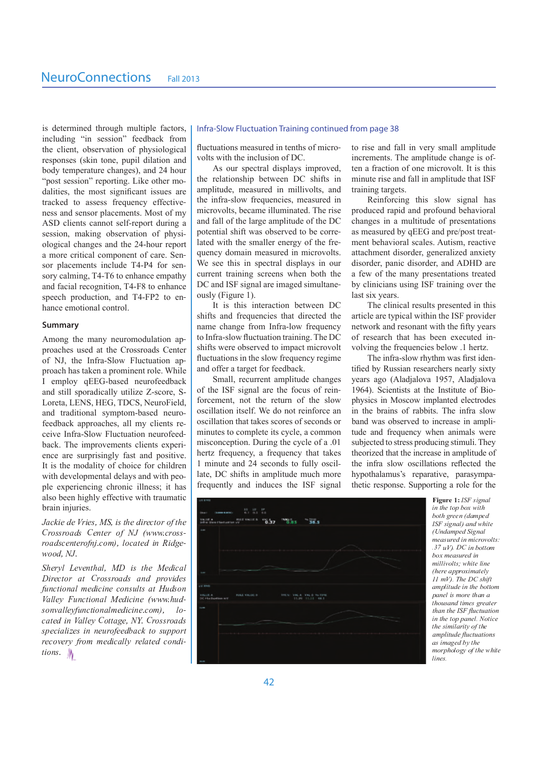is determined through multiple factors, including "in session" feedback from the client, observation of physiological responses (skin tone, pupil dilation and body temperature changes), and 24 hour "post session" reporting. Like other modalities, the most significant issues are tracked to assess frequency effectiveness and sensor placements. Most of my ASD clients cannot self-report during a session, making observation of physiological changes and the 24-hour report a more critical component of care. Sensor placements include T4-P4 for sensory calming, T4-T6 to enhance empathy and facial recognition, T4-F8 to enhance speech production, and T4-FP2 to enhance emotional control

#### Summary

Among the many neuromodulation approaches used at the Crossroads Center of NJ, the Infra-Slow Fluctuation approach has taken a prominent role. While I employ qEEG-based neurofeedback and still sporadically utilize Z-score, S-Loreta, LENS, HEG, TDCS, NeuroField, and traditional symptom-based neurofeedback approaches, all my clients receive Infra-Slow Fluctuation neurofeedback. The improvements clients experience are surprisingly fast and positive. It is the modality of choice for children with developmental delays and with people experiencing chronic illness; it has also been highly effective with traumatic brain injuries.

Jackie de Vries, MS, is the director of the Crossroads Center of NJ (www.crossroadscenterofni.com), located in Ridgewood. N.I.

Shervl Leventhal, MD is the Medical Director at Crossroads and provides functional medicine consults at Hudson Valley Functional Medicine (www.hudsonvalleyfunctionalmedicine.com),  $10$ cated in Valley Cottage, NY, Crossroads specializes in neurofeedback to support recovery from medically related conditions.  $\mathbb{N}$ 

#### Infra-Slow Fluctuation Training continued from page 38

fluctuations measured in tenths of microvolts with the inclusion of DC.

As our spectral displays improved, the relationship between DC shifts in amplitude, measured in millivolts, and the infra-slow frequencies, measured in microvolts, became illuminated. The rise and fall of the large amplitude of the DC potential shift was observed to be correlated with the smaller energy of the frequency domain measured in microvolts. We see this in spectral displays in our current training screens when both the DC and ISF signal are imaged simultaneously (Figure 1).

It is this interaction between DC shifts and frequencies that directed the name change from Infra-low frequency to Infra-slow fluctuation training. The DC shifts were observed to impact microvolt fluctuations in the slow frequency regime and offer a target for feedback.

Small, recurrent amplitude changes of the ISF signal are the focus of reinforcement, not the return of the slow oscillation itself. We do not reinforce an oscillation that takes scores of seconds or minutes to complete its cycle, a common misconception. During the cycle of a .01 hertz frequency, a frequency that takes 1 minute and 24 seconds to fully oscillate, DC shifts in amplitude much more frequently and induces the ISF signal

to rise and fall in very small amplitude increments. The amplitude change is often a fraction of one microvolt. It is this minute rise and fall in amplitude that ISF training targets.

Reinforcing this slow signal has produced rapid and profound behavioral changes in a multitude of presentations as measured by qEEG and pre/post treatment behavioral scales. Autism, reactive attachment disorder, generalized anxiety disorder, panic disorder, and ADHD are a few of the many presentations treated by clinicians using ISF training over the last six years

The clinical results presented in this article are typical within the ISF provider network and resonant with the fifty years of research that has been executed involving the frequencies below .1 hertz.

The infra-slow rhythm was first identified by Russian researchers nearly sixty years ago (Aladjalova 1957, Aladjalova 1964). Scientists at the Institute of Biophysics in Moscow implanted electrodes in the brains of rabbits. The infra slow band was observed to increase in amplitude and frequency when animals were subjected to stress producing stimuli. They theorized that the increase in amplitude of the infra slow oscillations reflected the hypothalamus's reparative, parasympathetic response. Supporting a role for the



Figure 1: ISF signal in the top box with both green (damped ISF signal) and white (Undamped Signal measured in microvolts:  $.37 uV$ ). DC in bottom box measured in millivolts; white line (here annroximately  $11 \, \text{mV}$ ). The DC shift amplitude in the bottom panel is more than a thousand times greater than the ISF fluctuation in the top panel. Notice the similarity of the *amplitude fluctuations* as imaged by the morphology of the white lines.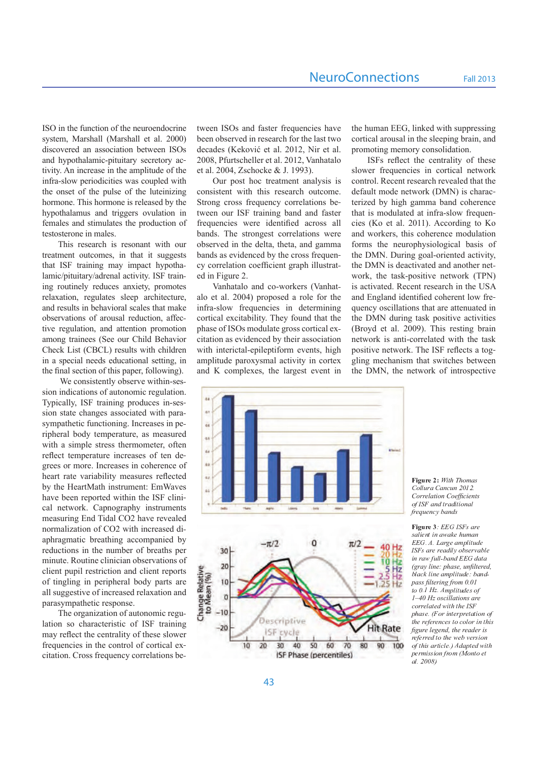ISO in the function of the neuroendocrine system, Marshall (Marshall et al. 2000) discovered an association between ISOs and hypothalamic-pituitary secretory ac tivity. An increase in the amplitude of the infra-slow periodicities was coupled with the onset of the pulse of the luteinizing hormone. This hormone is released by the hypothalamus and triggers ovulation in females and stimulates the production of testosterone in males.

This research is resonant with our treatment outcomes, in that it suggests that ISF training may impact hypotha lamic/pituitary/adrenal activity. ISF train ing routinely reduces anxiety, promotes relaxation, regulates sleep architecture, and results in behavioral scales that make observations of arousal reduction, affec tive regulation, and attention promotion among trainees (See our Child Behavior Check List (CBCL) results with children in a special needs educational setting, in the final section of this paper, following).

 We consistently observe within-ses sion indications of autonomic regulation. Typically, ISF training produces in-ses sion state changes associated with para sympathetic functioning. Increases in pe ripheral body temperature, as measured with a simple stress thermometer, often reflect temperature increases of ten de grees or more. Increases in coherence of heart rate variability measures reflected by the HeartMath instrument: EmWaves have been reported within the ISF clini cal network. Capnography instruments measuring End Tidal CO2 have revealed normalization of CO2 with increased di aphragmatic breathing accompanied by reductions in the number of breaths per minute. Routine clinician observations of client pupil restriction and client reports of tingling in peripheral body parts are all suggestive of increased relaxation and parasympathetic response.

The organization of autonomic regu lation so characteristic of ISF training may reflect the centrality of these slower frequencies in the control of cortical ex citation. Cross frequency correlations be

tween ISOs and faster frequencies have been observed in research for the last two decades (Keković et al. 2012, Nir et al. 2008, Pfurtscheller et al. 2012, Vanhatalo et al. 2004, Zschocke & J. 1993).

Our post hoc treatment analysis is consistent with this research outcome. Strong cross frequency correlations be tween our ISF training band and faster frequencies were identified across all bands. The strongest correlations were observed in the delta, theta, and gamma bands as evidenced by the cross frequen cy correlation coefficient graph illustrat ed in Figure 2.

Vanhatalo and co-workers (Vanhat alo et al. 2004) proposed a role for the infra-slow frequencies in determining cortical excitability. They found that the phase of ISOs modulate gross cortical ex citation as evidenced by their association with interictal-epileptiform events, high amplitude paroxysmal activity in cortex and K complexes, the largest event in

the human EEG, linked with suppressing cortical arousal in the sleeping brain, and promoting memory consolidation.

ISFs reflect the centrality of these slower frequencies in cortical network control. Recent research revealed that the default mode network (DMN) is charac terized by high gamma band coherence that is modulated at infra-slow frequen cies (Ko et al. 2011). According to Ko and workers, this coherence modulation forms the neurophysiological basis of the DMN. During goal-oriented activity, the DMN is deactivated and another net work, the task-positive network (TPN) is activated. Recent research in the USA and England identified coherent low fre quency oscillations that are attenuated in the DMN during task positive activities (Broyd et al. 2009). This resting brain network is anti-correlated with the task positive network. The ISF reflects a tog gling mechanism that switches between the DMN, the network of introspective





**Figure 2: With Thoma** ollura Cancun 2012. *Correlation Coefficients*   $R$  k  $R$  and  $R$  is a matrix  $R$  of  $R$  and  $R$  is a matrix  $R$  of  $R$  is a matrix  $R$  of  $R$  is a matrix  $R$  of  $R$  is a matrix  $R$  of  $R$  is a matrix  $R$  of  $R$  is a matrix  $R$  of  $R$  is a matrix  $R$  of  $R$  is a matrix  $k$  and  $k$  if  $k$  if  $k$  if  $k$  if  $\mathcal{U}$  if  $\mathcal{U}$  if  $\mathcal{U}$  if  $\mathcal{U}$  if  $\mathcal{U}$  if  $\mathcal{U}$  if  $\mathcal{U}$  if  $\mathcal{U}$  if  $\mathcal{U}$  if  $\mathcal{U}$  if  $\mathcal{U}$  if  $\mathcal{U}$  if  $\mathcal{U}$  if  $\mathcal{U}$  if  $\mathcal{U}$  if  $\mathcal{$ 

 $\mathbf{r}$  . A B F  $\mathbf{r}$   $\mathbf{r}$  and  $\mathbf{r}$  $\mathcal{I}$  and  $\mathcal{I}$  and  $\mathcal{I}$  and  $\mathcal{I}$  and  $\mathcal{I}$  and  $\mathcal{I}$  and  $\mathcal{I}$ EEG. A. Large amplitud F <sup>G</sup> <sup>H</sup> <sup>I</sup> <sup>M</sup> <sup>W</sup> <sup>Q</sup> <sup>W</sup> <sup>Q</sup> <sup>M</sup> <sup>Y</sup> <sup>J</sup> <sup>N</sup> h <sup>R</sup> <sup>T</sup> <sup>I</sup> <sup>Q</sup> <sup>W</sup> \_ <sup>M</sup> <sup>T</sup> <sup>N</sup> <sup>Q</sup> J <sup>L</sup> <sup>W</sup> <sup>M</sup> <sup>V</sup> <sup>k</sup> ] <sup>N</sup> <sup>N</sup> <sup>x</sup> <sup>T</sup> <sup>M</sup> <sup>L</sup> <sup>Y</sup> <sup>s</sup> <sup>s</sup> <sup>t</sup> <sup>Y</sup> <sup>M</sup> <sup>O</sup> <sup>M</sup> *(gray line: phase, unfiltered,*  T <sup>N</sup> <sup>M</sup> ^ <sup>u</sup> <sup>N</sup> <sup>J</sup> <sup>L</sup> <sup>Q</sup> <sup>M</sup> <sup>Z</sup> <sup>S</sup> <sup>N</sup> <sup>J</sup> <sup>O</sup> ] <sup>Y</sup> <sup>Q</sup> ` <sup>T</sup> <sup>M</sup> <sup>L</sup> <sup>Y</sup> <sup>x</sup> *pass filtering from 0.01*  to 0.1 Hz. Amplitudes c *1–40 Hz oscillations are*  ^ <sup>R</sup> <sup>W</sup> <sup>W</sup> <sup>Q</sup> <sup>N</sup> <sup>M</sup> <sup>O</sup> <sup>Q</sup> <sup>Y</sup> <sup>V</sup> <sup>J</sup> <sup>O</sup> <sup>P</sup> <sup>O</sup> <sup>P</sup> <sup>Q</sup> <sup>F</sup> <sup>G</sup> <sup>H</sup> phase. (For interpretation c  $\mathcal{C}$  and  $\mathcal{C}$  and  $\mathcal{C}$  and  $\mathcal{C}$  and  $\mathcal{C}$  is a rewritten to  $\mathcal{C}$  in  $\mathcal{C}$  is a set of  $\mathcal{C}$  is a set of  $\mathcal{C}$  is a set of  $\mathcal{C}$  is a set of  $\mathcal{C}$  is a set of  $\mathcal{C}$  is a set of  $\mathcal$ *figure legend, the reader is*   $\alpha$  and  $\alpha$  and  $\alpha$  and  $\alpha$ of this article.) Adapted wit S Q W Z J I I R L C R L C R L O R L O R L O R L O R L O R L O R L O R L O R L O R L O R L O R L O R L O R L O al. 2008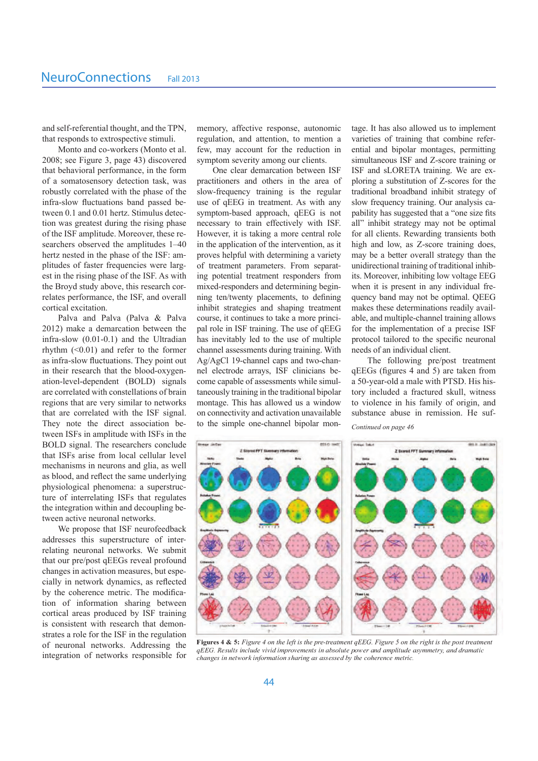and self-referential thought, and the TPN, that responds to extrospective stimuli.

Monto and co-workers (Monto et al. 2008; see Figure 3, page 43) discovered that behavioral performance, in the form of a somatosensory detection task, was robustly correlated with the phase of the infra-slow fluctuations band passed be tween 0.1 and 0.01 hertz. Stimulus detec tion was greatest during the rising phase of the ISF amplitude. Moreover, these re searchers observed the amplitudes 1–40 hertz nested in the phase of the ISF: am plitudes of faster frequencies were larg est in the rising phase of the ISF. As with the Broyd study above, this research cor relates performance, the ISF, and overall cortical excitation.

Palva and Palva (Palva & Palva 2012) make a demarcation between the infra-slow (0.01-0.1) and the Ultradian rhythm  $(<0.01$ ) and refer to the former as infra-slow fluctuations. They point out in their research that the blood-oxygen ation-level-dependent (BOLD) signals are correlated with constellations of brain regions that are very similar to networks that are correlated with the ISF signal. They note the direct association be tween ISFs in amplitude with ISFs in the BOLD signal. The researchers conclude that ISFs arise from local cellular level mechanisms in neurons and glia, as well as blood, and reflect the same underlying physiological phenomena: a superstruc ture of interrelating ISFs that regulates the integration within and decoupling be tween active neuronal networks.

We propose that ISF neurofeedback addresses this superstructure of inter relating neuronal networks. We submit that our pre/post qEEGs reveal profound changes in activation measures, but espe cially in network dynamics, as reflected by the coherence metric. The modifica tion of information sharing between cortical areas produced by ISF training is consistent with research that demon strates a role for the ISF in the regulation of neuronal networks. Addressing the integration of networks responsible for

memory, affective response, autonomic regulation, and attention, to mention a few, may account for the reduction in symptom severity among our clients.

One clear demarcation between ISF practitioners and others in the area of slow-frequency training is the regular use of qEEG in treatment. As with any symptom-based approach, qEEG is not necessary to train effectively with ISF. However, it is taking a more central role in the application of the intervention, as it proves helpful with determining a variety of treatment parameters. From separat ing potential treatment responders from mixed-responders and determining begin ning ten/twenty placements, to defining inhibit strategies and shaping treatment course, it continues to take a more princi pal role in ISF training. The use of qEEG has inevitably led to the use of multiple channel assessments during training. With Ag/AgCl 19-channel caps and two-chan nel electrode arrays, ISF clinicians be come capable of assessments while simul taneously training in the traditional bipolar montage. This has allowed us a window on connectivity and activation unavailable to the simple one-channel bipolar mon

tage. It has also allowed us to implement varieties of training that combine refer ential and bipolar montages, permitting simultaneous ISF and Z-score training or ISF and sLORETA training. We are ex ploring a substitution of Z-scores for the traditional broadband inhibit strategy of slow frequency training. Our analysis ca pability has suggested that a "one size fits all" inhibit strategy may not be optimal for all clients. Rewarding transients both high and low, as Z-score training does, may be a better overall strategy than the unidirectional training of traditional inhib its. Moreover, inhibiting low voltage EEG when it is present in any individual fre quency band may not be optimal. QEEG makes these determinations readily avail able, and multiple-channel training allows for the implementation of a precise ISF protocol tailored to the specific neuronal needs of an individual client.

The following pre/post treatment qEEGs (figures 4 and 5) are taken from a 50-year-old a male with PTSD. His his tory included a fractured skull, witness to violence in his family of origin, and substance abuse in remission. He suf

*Continued on page 46*



**Figures 4 & 5:** Figure 4 on the left is the pre-treatment  $qEEG$ . Figure 5 on the right is the post treatment aEEG. Results include vivid improvements in absolute power and amplitude asymmetry, and dramati  $changes$  in network information sharing as assessed by the coherence metric.